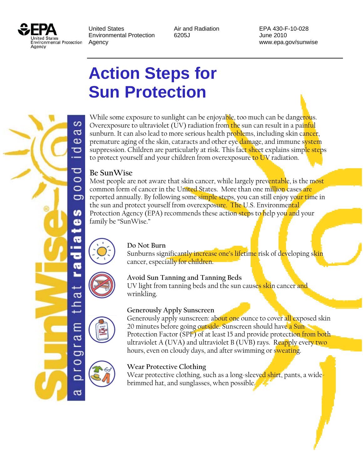

United States **Air and Radiation** EPA 430-F-10-028 Environmental Protection 6205J 62010 Agency www.epa.gov/sunwise

# **Action Steps for Sun Protection**

S g Œ ರ ᅙ  $\circ$  $\circ$ ð n œ a ᇰ a g ದ

While some exposure to sunlight can be enjoya<mark>ble</mark>, too much can be dange<mark>rou</mark>s. Overexposure to ultraviolet (UV) radiation from the sun can result in a painful sunburn. It can also lead to more serious health problems, including skin cancer, premature aging of the skin, cataracts and other eye damage, and immune system suppression. Children are particularly at risk. This fact sheet explains simple steps to protect yourself and your children from overexposure to UV radiation.

## **Be SunWise**

Most people are not aware that skin cancer, while largely preventable, is the most common form of cancer in the United States. More than one million cases are reported annually. By following some simple steps, you can still enjoy your time in the sun and protect yourself from overexposure. The U.S. Environmental Protection Agency (EPA) recommends these action steps to help you and your family be "SunWise."



#### **Do Not Burn**

Sunburns significantly increase one's lifetime risk of developing skin cancer, especially for children.



## **Avoid Sun Tanning and Tanning Beds**

 wrinkling. UV light from tanning beds and the sun causes skin cancer and





#### **Generously Apply Sunscreen**

Generously apply sunscreen: about one ounce to cover all exposed skin 20 minutes before going outside. Sunscreen should have a Sun Protection Factor (SPF) of at least 15 and provide protection from both ultraviolet A (UVA) and ultraviolet B (UVB) rays. Reapply every two hours, even on cloudy days, and after swimming or sweating.

#### **Wear Protective Clothing**

Wear protective clothing, such as a long-sleeved shirt, pants, a widebrimmed hat, and sunglasses, when possible.